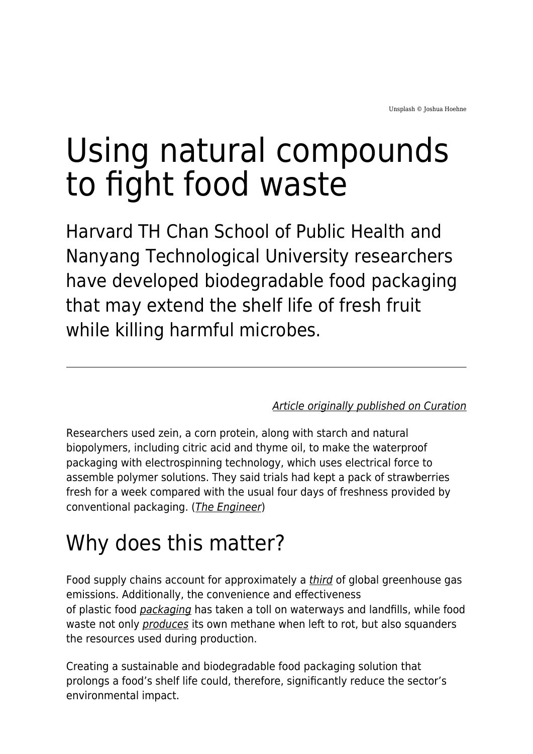# Using natural compounds to fight food waste

Harvard TH Chan School of Public Health and Nanyang Technological University researchers have developed biodegradable food packaging that may extend the shelf life of fresh fruit while killing harmful microbes.

[Article originally published on Curation](https://curationcorp.com/blog/using-natural-compounds-to-fight-food-waste/)

Researchers used zein, a corn protein, along with starch and natural biopolymers, including citric acid and thyme oil, to make the waterproof packaging with electrospinning technology, which uses electrical force to assemble polymer solutions. They said trials had kept a pack of strawberries fresh for a week compared with the usual four days of freshness provided by conventional packaging. ([The Engineer](https://www.theengineer.co.uk/smart-food-packaging-keeps-fruit-fresh/))

## Why does this matter?

Food supply chains account for approximately a [third](https://www.newscientist.com/article/2290068-food-production-emissions-make-up-more-than-a-third-of-global-total/#:~:text=Food%20production%20contributes%20around%2037,emissions%20of%20plant%2Dbased%20ones.) of global greenhouse gas emissions. Additionally, the convenience and effectiveness of plastic food [packaging](https://foodprint.org/reports/the-foodprint-of-food-packaging/) has taken a toll on waterways and landfills, while food waste not only *[produces](https://www.forbes.com/sites/quora/2018/07/18/what-environmental-problems-does-wasting-food-cause/?sh=37e20ae82f7a)* its own methane when left to rot, but also squanders the resources used during production.

Creating a sustainable and biodegradable food packaging solution that prolongs a food's shelf life could, therefore, significantly reduce the sector's environmental impact.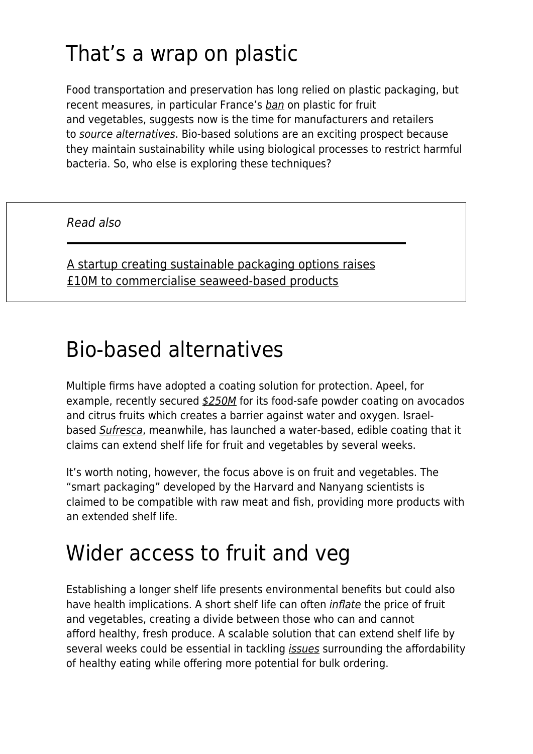## That's a wrap on plastic

Food transportation and preservation has long relied on plastic packaging, but recent measures, in particular France's [ban](https://www-bbc-com.cdn.ampproject.org/c/s/www.bbc.com/news/world-europe-59843697.amp) on plastic for fruit and vegetables, suggests now is the time for manufacturers and retailers to [source alternatives](https://www.maddyness.com/uk/2021/12/08/a-startup-creating-sustainable-packaging-options-raises-10m-to-commercialise-seaweed-based-products/). Bio-based solutions are an exciting prospect because they maintain sustainability while using biological processes to restrict harmful bacteria. So, who else is exploring these techniques?

Read also

[A startup creating sustainable packaging options raises](https://www.maddyness.com/uk/2021/12/08/a-startup-creating-sustainable-packaging-options-raises-10m-to-commercialise-seaweed-based-products/) [£10M to commercialise seaweed-based products](https://www.maddyness.com/uk/2021/12/08/a-startup-creating-sustainable-packaging-options-raises-10m-to-commercialise-seaweed-based-products/)

#### Bio-based alternatives

Multiple firms have adopted a coating solution for protection. Apeel, for example, recently secured [\\$250M](https://app.curationcorp.com/story/20A889DF-BA71-4FFC-BCC0-0DDA38CB1A05) for its food-safe powder coating on avocados and citrus fruits which creates a barrier against water and oxygen. Israelbased [Sufresca](https://app.curationcorp.com/story/93F64EA7-C49D-46B5-8EC7-B64313E27DD3), meanwhile, has launched a water-based, edible coating that it claims can extend shelf life for fruit and vegetables by several weeks.

It's worth noting, however, the focus above is on fruit and vegetables. The "smart packaging" developed by the Harvard and Nanyang scientists is claimed to be compatible with raw meat and fish, providing more products with an extended shelf life.

#### Wider access to fruit and veg

Establishing a longer shelf life presents environmental benefits but could also have health implications. A short shelf life can often [inflate](https://abcnews.go.com/Health/Diet/story?id=3807128&page=1) the price of fruit and vegetables, creating a divide between those who can and cannot afford healthy, fresh produce. A scalable solution that can extend shelf life by several weeks could be essential in tackling *[issues](https://www.foodnavigator.com/Article/2021/10/01/The-high-cost-of-healthy-eating-We-need-to-ensure-the-affordability-and-accessibility-of-nutritious-food)* surrounding the affordability of healthy eating while offering more potential for bulk ordering.